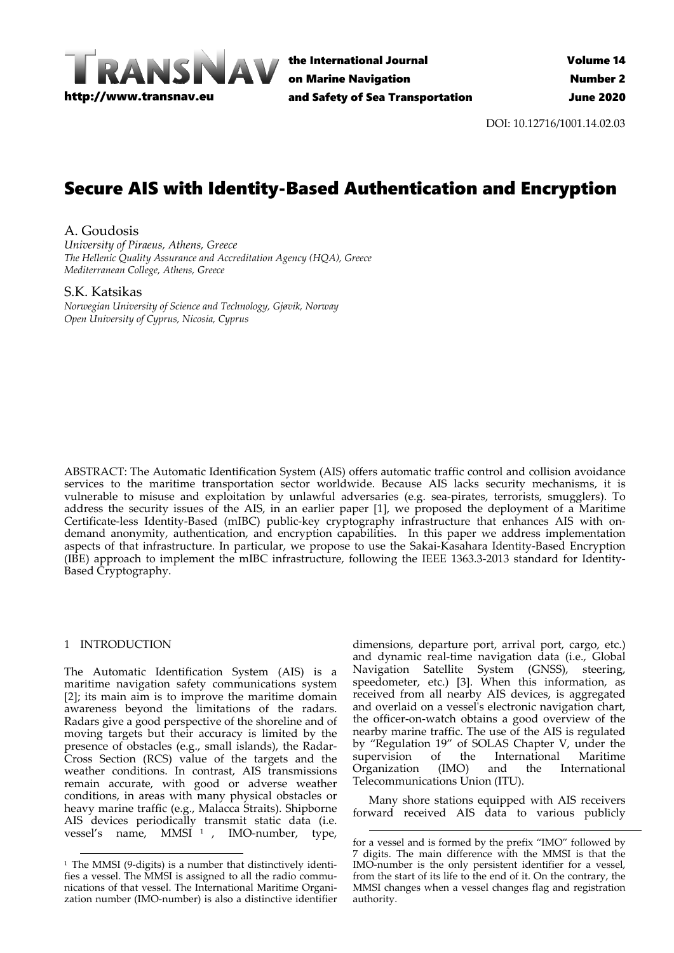

the International Journal on Marine Navigation and Safety of Sea Transportation

DOI: 10.12716/1001.14.02.03

# Secure AIS with Identity-Based Authentication and Encryption

A. Goudosis *University of Piraeus, Athens, Greece The Hellenic Quality Assurance and Accreditation Agency (HQA), Greece Mediterranean College, Athens, Greece*

# S.K. Katsikas

*Norwegian University of Science and Technology, Gjøvik, Norway Open University of Cyprus, Nicosia, Cyprus*

ABSTRACT: The Automatic Identification System (AIS) offers automatic traffic control and collision avoidance services to the maritime transportation sector worldwide. Because AIS lacks security mechanisms, it is vulnerable to misuse and exploitation by unlawful adversaries (e.g. sea-pirates, terrorists, smugglers). To address the security issues of the AIS, in an earlier paper [1], we proposed the deployment of a Maritime Certificate-less Identity-Based (mIBC) public-key cryptography infrastructure that enhances AIS with ondemand anonymity, authentication, and encryption capabilities. In this paper we address implementation aspects of that infrastructure. In particular, we propose to use the Sakai‐Kasahara Identity‐Based Encryption (IBE) approach to implement the mIBC infrastructure, following the IEEE 1363.3‐2013 standard for Identity‐ Based Cryptography.

# 1 INTRODUCTION

The Automatic Identification System (AIS) is a maritime navigation safety communications system [2]; its main aim is to improve the maritime domain awareness beyond the limitations of the radars. Radars give a good perspective of the shoreline and of moving targets but their accuracy is limited by the presence of obstacles (e.g., small islands), the Radar‐ Cross Section (RCS) value of the targets and the weather conditions. In contrast, AIS transmissions remain accurate, with good or adverse weather conditions, in areas with many physical obstacles or heavy marine traffic (e.g., Malacca Straits). Shipborne AIS devices periodically transmit static data (i.e. vessel's name, MMSI <sup>1</sup> , IMO‐number, type,

dimensions, departure port, arrival port, cargo, etc.) and dynamic real‐time navigation data (i.e., Global Navigation Satellite System (GNSS), steering, speedometer, etc.) [3]. When this information, as received from all nearby AIS devices, is aggregated and overlaid on a vesselʹs electronic navigation chart, the officer‐on‐watch obtains a good overview of the nearby marine traffic. The use of the AIS is regulated by "Regulation 19" of SOLAS Chapter V, under the supervision of the International Maritime<br>Organization (IMO) and the International Organization (IMO) and Telecommunications Union (ITU).

Many shore stations equipped with AIS receivers forward received AIS data to various publicly

<u> Andrewski politika (za obrazu za obrazu za obrazu za obrazu za obrazu za obrazu za obrazu za obrazu za obrazu</u>

<sup>&</sup>lt;u> 1989 - Jan Barat, martin amerikan basar dan bagi dan basar dalam basar dalam basar dalam basar dalam basar da</u>  $1$  The MMSI (9-digits) is a number that distinctively identifies a vessel. The MMSI is assigned to all the radio communications of that vessel. The International Maritime Organi‐ zation number (IMO‐number) is also a distinctive identifier

for a vessel and is formed by the prefix "IMO" followed by 7 digits. The main difference with the MMSI is that the IMO‐number is the only persistent identifier for a vessel, from the start of its life to the end of it. On the contrary, the MMSI changes when a vessel changes flag and registration authority.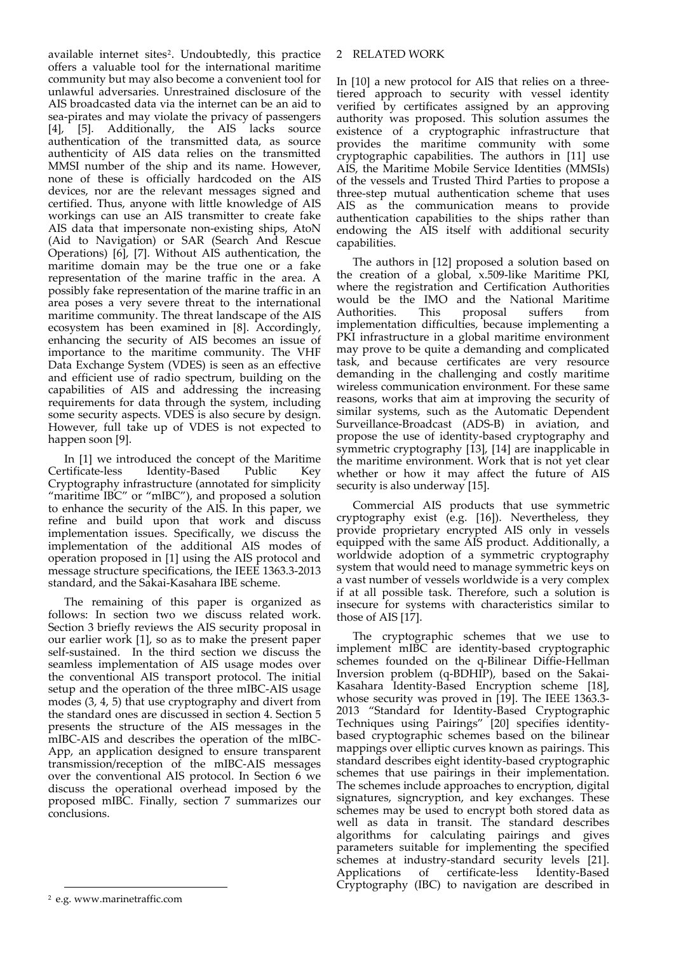available internet sites<sup>2</sup>. Undoubtedly, this practice offers a valuable tool for the international maritime community but may also become a convenient tool for unlawful adversaries. Unrestrained disclosure of the AIS broadcasted data via the internet can be an aid to sea‐pirates and may violate the privacy of passengers [4], [5]. Additionally, the AIS lacks source authentication of the transmitted data, as source authenticity of AIS data relies on the transmitted MMSI number of the ship and its name. However, none of these is officially hardcoded on the AIS devices, nor are the relevant messages signed and certified. Thus, anyone with little knowledge of AIS workings can use an AIS transmitter to create fake AIS data that impersonate non‐existing ships, AtoN (Aid to Navigation) or SAR (Search And Rescue Operations) [6], [7]. Without AIS authentication, the maritime domain may be the true one or a fake representation of the marine traffic in the area. A possibly fake representation of the marine traffic in an area poses a very severe threat to the international maritime community. The threat landscape of the AIS ecosystem has been examined in [8]. Accordingly, enhancing the security of AIS becomes an issue of importance to the maritime community. The VHF Data Exchange System (VDES) is seen as an effective and efficient use of radio spectrum, building on the capabilities of AIS and addressing the increasing requirements for data through the system, including some security aspects. VDES is also secure by design. However, full take up of VDES is not expected to happen soon [9].

In [1] we introduced the concept of the Maritime Certificate‐less Identity‐Based Public Key Cryptography infrastructure (annotated for simplicity "maritime IBC" or "mIBC"), and proposed a solution to enhance the security of the AIS. In this paper, we refine and build upon that work and discuss implementation issues. Specifically, we discuss the implementation of the additional AIS modes of operation proposed in [1] using the AIS protocol and message structure specifications, the IEEE 1363.3‐2013 standard, and the Sakai‐Kasahara IBE scheme.

The remaining of this paper is organized as follows: In section two we discuss related work. Section 3 briefly reviews the AIS security proposal in our earlier work [1], so as to make the present paper self-sustained. In the third section we discuss the seamless implementation of AIS usage modes over the conventional AIS transport protocol. The initial setup and the operation of the three mIBC‐AIS usage modes (3, 4, 5) that use cryptography and divert from the standard ones are discussed in section 4. Section 5 presents the structure of the AIS messages in the mIBC‐AIS and describes the operation of the mIBC‐ App, an application designed to ensure transparent transmission/reception of the mIBC‐AIS messages over the conventional AIS protocol. In Section 6 we discuss the operational overhead imposed by the proposed mIBC. Finally, section 7 summarizes our conclusions.

# 2 RELATED WORK

In [10] a new protocol for AIS that relies on a threetiered approach to security with vessel identity verified by certificates assigned by an approving authority was proposed. This solution assumes the existence of a cryptographic infrastructure that provides the maritime community with some cryptographic capabilities. The authors in [11] use AIS, the Maritime Mobile Service Identities (MMSIs) of the vessels and Trusted Third Parties to propose a three‐step mutual authentication scheme that uses AIS as the communication means to provide authentication capabilities to the ships rather than endowing the AIS itself with additional security capabilities.

The authors in [12] proposed a solution based on the creation of a global, x.509‐like Maritime PKI, where the registration and Certification Authorities would be the IMO and the National Maritime<br>Authorities. This proposal suffers from Authorities. This proposal suffers from implementation difficulties, because implementing a PKI infrastructure in a global maritime environment may prove to be quite a demanding and complicated task, and because certificates are very resource demanding in the challenging and costly maritime wireless communication environment. For these same reasons, works that aim at improving the security of similar systems, such as the Automatic Dependent Surveillance‐Broadcast (ADS‐B) in aviation, and propose the use of identity‐based cryptography and symmetric cryptography [13], [14] are inapplicable in the maritime environment. Work that is not yet clear whether or how it may affect the future of AIS security is also underway [15].

Commercial AIS products that use symmetric cryptography exist (e.g. [16]). Nevertheless, they provide proprietary encrypted AIS only in vessels equipped with the same AIS product. Additionally, a worldwide adoption of a symmetric cryptography system that would need to manage symmetric keys on a vast number of vessels worldwide is a very complex if at all possible task. Therefore, such a solution is insecure for systems with characteristics similar to those of AIS [17].

The cryptographic schemes that we use to implement mIBC are identity-based cryptographic schemes founded on the q-Bilinear Diffie-Hellman Inversion problem (q‐BDHIP), based on the Sakai‐ Kasahara Identity‐Based Encryption scheme [18], whose security was proved in [19]. The IEEE 1363.3-2013 "Standard for Identity‐Based Cryptographic Techniques using Pairings" [20] specifies identity‐ based cryptographic schemes based on the bilinear mappings over elliptic curves known as pairings. This standard describes eight identity‐based cryptographic schemes that use pairings in their implementation. The schemes include approaches to encryption, digital signatures, signcryption, and key exchanges. These schemes may be used to encrypt both stored data as well as data in transit. The standard describes algorithms for calculating pairings and gives parameters suitable for implementing the specified schemes at industry-standard security levels [21]. Applications of certificate-less Identity-Based Cryptography (IBC) to navigation are described in

<u> 1989 - Johann Barbara, martxa alemaniar a</u>

<sup>2</sup> e.g. www.marinetraffic.com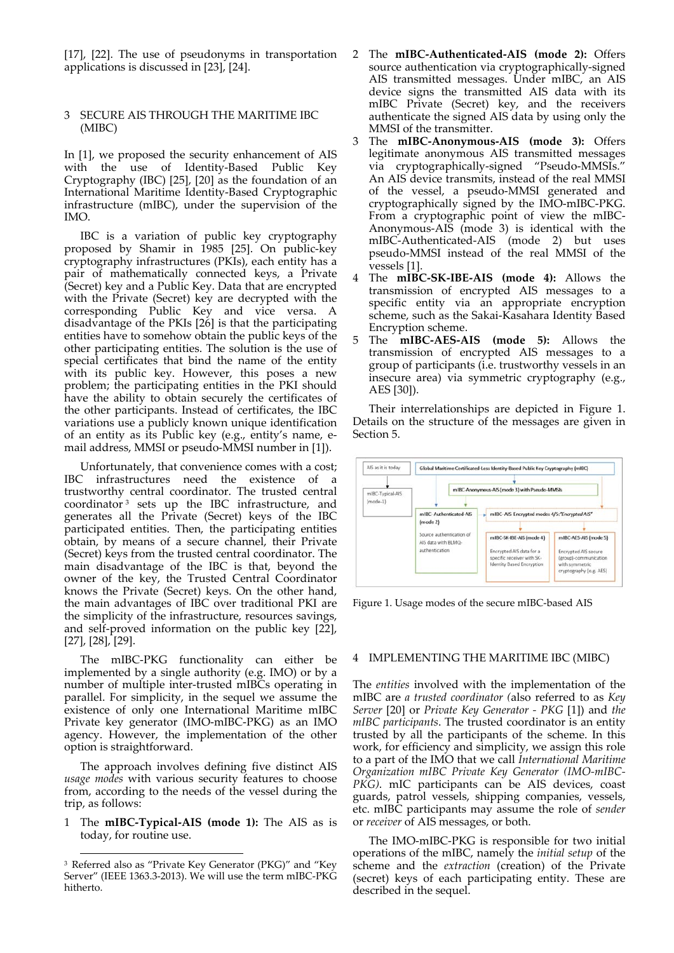[17], [22]. The use of pseudonyms in transportation applications is discussed in [23], [24].

## 3 SECURE AIS THROUGH THE MARITIME IBC (MIBC)

In [1], we proposed the security enhancement of AIS with the use of Identity‐Based Public Key Cryptography (IBC) [25], [20] as the foundation of an International Maritime Identity‐Based Cryptographic infrastructure (mIBC), under the supervision of the IMO.

IBC is a variation of public key cryptography proposed by Shamir in 1985 [25]. On public‐key cryptography infrastructures (PKIs), each entity has a pair of mathematically connected keys, a Private (Secret) key and a Public Key. Data that are encrypted with the Private (Secret) key are decrypted with the corresponding Public Key and vice versa. A disadvantage of the PKIs [26] is that the participating entities have to somehow obtain the public keys of the other participating entities. The solution is the use of special certificates that bind the name of the entity with its public key. However, this poses a new problem; the participating entities in the PKI should have the ability to obtain securely the certificates of the other participants. Instead of certificates, the IBC variations use a publicly known unique identification of an entity as its Public key (e.g., entity's name, e‐ mail address, MMSI or pseudo‐MMSI number in [1]).

Unfortunately, that convenience comes with a cost; IBC infrastructures need the existence of a trustworthy central coordinator. The trusted central coordinator <sup>3</sup> sets up the IBC infrastructure, and generates all the Private (Secret) keys of the IBC participated entities. Then, the participating entities obtain, by means of a secure channel, their Private (Secret) keys from the trusted central coordinator. The main disadvantage of the IBC is that, beyond the owner of the key, the Trusted Central Coordinator knows the Private (Secret) keys. On the other hand, the main advantages of IBC over traditional PKI are the simplicity of the infrastructure, resources savings, and self‐proved information on the public key [22], [27], [28], [29].

The mIBC-PKG functionality can either be implemented by a single authority (e.g. IMO) or by a number of multiple inter‐trusted mIBCs operating in parallel. For simplicity, in the sequel we assume the existence of only one International Maritime mIBC Private key generator (IMO‐mIBC‐PKG) as an IMO agency. However, the implementation of the other option is straightforward.

The approach involves defining five distinct AIS *usage modes* with various security features to choose from, according to the needs of the vessel during the trip, as follows:

1 The **mIBC‐Typical‐AIS (mode 1):** The AIS as is today, for routine use.

- 2 The **mIBC‐Authenticated‐AIS (mode 2):** Offers source authentication via cryptographically‐signed AIS transmitted messages. Under mIBC, an AIS device signs the transmitted AIS data with its mIBC Private (Secret) key, and the receivers authenticate the signed AIS data by using only the MMSI of the transmitter.
- 3 The **mIBC‐Anonymous‐AIS (mode 3):** Offers legitimate anonymous AIS transmitted messages via cryptographically‐signed "Pseudo‐MMSIs." An AIS device transmits, instead of the real MMSI of the vessel, a pseudo‐MMSI generated and cryptographically signed by the IMO‐mIBC‐PKG. From a cryptographic point of view the mIBC‐ Anonymous‐AIS (mode 3) is identical with the mIBC‐Authenticated‐AIS (mode 2) but uses pseudo‐MMSI instead of the real MMSI of the vessels [1].
- 4 The **mIBC‐SK‐IBE‐AIS (mode 4):** Allows the transmission of encrypted AIS messages to a specific entity via an appropriate encryption scheme, such as the Sakai-Kasahara Identity Based Encryption scheme.
- 5 The **mIBC‐AES‐AIS (mode 5):** Allows the transmission of encrypted AIS messages to a group of participants (i.e. trustworthy vessels in an insecure area) via symmetric cryptography (e.g., AES [30]).

Their interrelationships are depicted in Figure 1. Details on the structure of the messages are given in Section 5.



Figure 1. Usage modes of the secure mIBC‐based AIS

## 4 IMPLEMENTING THE MARITIME IBC (MIBC)

The *entities* involved with the implementation of the mIBC are *a trusted coordinator (*also referred to as *Key Server* [20] or *Private Key Generator ‐ PKG* [1]) and *the mIBC participants*. The trusted coordinator is an entity trusted by all the participants of the scheme. In this work, for efficiency and simplicity, we assign this role to a part of the IMO that we call *International Maritime Organization mIBC Private Key Generator (IMO‐mIBC‐ PKG)*. mIC participants can be AIS devices, coast guards, patrol vessels, shipping companies, vessels, etc. mIBC participants may assume the role of *sender* or *receiver* of AIS messages, or both.

The IMO‐mIBC‐PKG is responsible for two initial operations of the mIBC, namely the *initial setup* of the scheme and the *extraction* (creation) of the Private (secret) keys of each participating entity. These are described in the sequel.

<sup>&</sup>lt;u> 1989 - Jan Barat, martin amerikan basar dan bagi dan basar dalam basar dalam basar dalam basar dalam basar da</u> <sup>3</sup> Referred also as "Private Key Generator (PKG)" and "Key Server" (IEEE 1363.3‐2013). We will use the term mIBC‐PKG hitherto.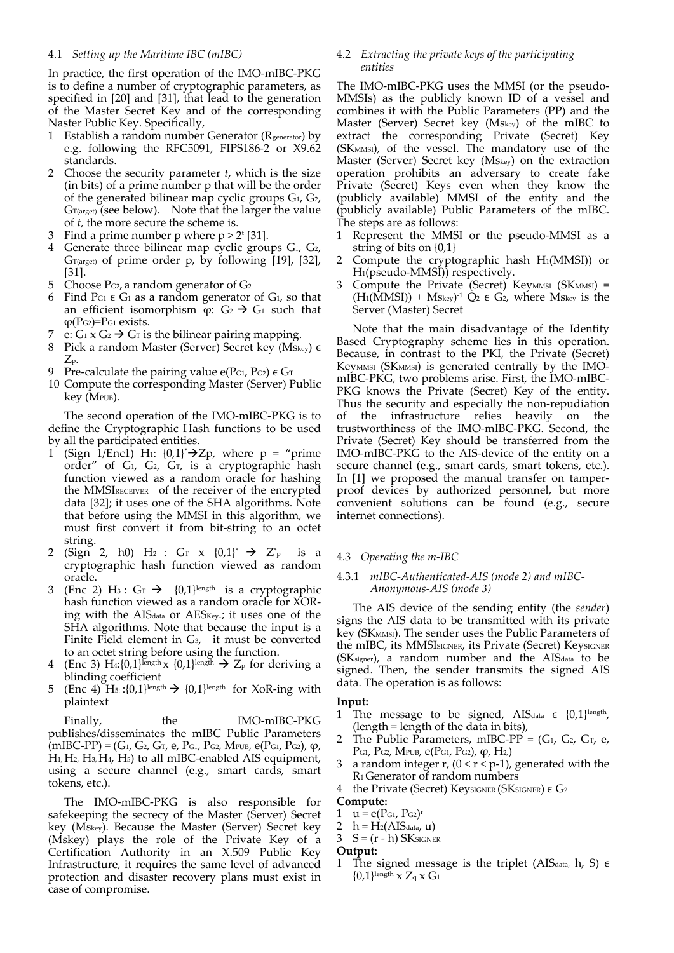## 4.1 *Setting up the Maritime IBC (mIBC)*

In practice, the first operation of the IMO‐mIBC‐PKG is to define a number of cryptographic parameters, as specified in [20] and [31], that lead to the generation of the Master Secret Key and of the corresponding Naster Public Key. Specifically,

- 1 Establish a random number Generator ( $R_{\text{generator}}$ ) by e.g. following the RFC5091, FIPS186‐2 or X9.62 standards.
- 2 Choose the security parameter *t*, which is the size (in bits) of a prime number p that will be the order of the generated bilinear map cyclic groups  $G_1$ ,  $G_2$ ,  $G_{T(\text{arget})}$  (see below). Note that the larger the value of *t*, the more secure the scheme is.
- 3 Find a prime number p where  $p > 2^t$  [31].
- Generate three bilinear map cyclic groups  $G_1$ ,  $G_2$ ,  $G_{T(\text{target})}$  of prime order p, by following [19], [32], [31].
- 5 Choose  $P_{G_2}$ , a random generator of  $G_2$
- 6 Find P<sub>G1</sub>  $\epsilon$  G<sub>1</sub> as a random generator of G<sub>1</sub>, so that an efficient isomorphism  $\varphi$ :  $G_2 \rightarrow G_1$  such that  $\varphi$ (P<sub>G2</sub>)=P<sub>G1</sub> exists.
- 7 e:  $G_1$  x  $G_2$   $\rightarrow$   $G_T$  is the bilinear pairing mapping.
- 8 Pick a random Master (Server) Secret key (Mskey)  $\epsilon$ Zp.
- 9 Pre-calculate the pairing value e(PG1, PG2)  $\epsilon$  G<sub>T</sub>
- 10 Compute the corresponding Master (Server) Public key (MPUB).

The second operation of the IMO‐mIBC‐PKG is to define the Cryptographic Hash functions to be used by all the participated entities.

- 1 (Sign  $\overline{1}/\text{Enc1}$ ) H<sub>1</sub>: {0,1}\* $\rightarrow$ Zp, where p = "prime order" of G<sub>1</sub>, G<sub>2</sub>, G<sub>T</sub>, is a cryptographic hash function viewed as a random oracle for hashing the MMSIRECEIVER of the receiver of the encrypted data [32]; it uses one of the SHA algorithms. Note that before using the MMSI in this algorithm, we must first convert it from bit‐string to an octet string.
- 2 (Sign 2, h0)  $H_2$  :  $G_T$  x  $\{0,1\}^*$   $\rightarrow$   $Z^*_{p}$  is a cryptographic hash function viewed as random oracle.
- 3 (Enc 2) H<sub>3</sub> :  $G_T$   $\rightarrow$  {0,1}length is a cryptographic hash function viewed as a random oracle for XOR‐ ing with the AIS<sub>data</sub> or AES<sub>Key</sub>.; it uses one of the SHA algorithms. Note that because the input is a Finite Field element in G<sub>3</sub>, it must be converted to an octet string before using the function.
- 4 (Enc 3) H<sub>4</sub>:{0,1}length  $x$  {0,1}length  $\rightarrow$  Z<sub>p</sub> for deriving a blinding coefficient
- 5 (Enc 4) H<sub>5</sub>: : $\{0,1\}$ length  $\rightarrow$   $\{0,1\}$ length for XoR-ing with plaintext

Finally, the IMO-mIBC-PKG publishes/disseminates the mIBC Public Parameters  $(mIBC-PP) = (G_1, G_2, G_T, e, P_{G1}, P_{G2}, M_{PUB}, e(P_{G1}, P_{G2}), \varphi,$ H1, H2, H3, H4, H5) to all mIBC‐enabled AIS equipment, using a secure channel (e.g., smart cards, smart tokens, etc.).

The IMO-mIBC-PKG is also responsible for safekeeping the secrecy of the Master (Server) Secret key (Mskey). Because the Master (Server) Secret key (Mskey) plays the role of the Private Key of a Certification Authority in an X.509 Public Key Infrastructure, it requires the same level of advanced protection and disaster recovery plans must exist in case of compromise.

## 4.2 *Extracting the private keys of the participating entities*

The IMO‐mIBC‐PKG uses the MMSI (or the pseudo‐ MMSIs) as the publicly known ID of a vessel and combines it with the Public Parameters (PP) and the Master (Server) Secret key (Mskey) of the mIBC to extract the corresponding Private (Secret) Key (SKMMSI), of the vessel. The mandatory use of the Master (Server) Secret key (Mskey) on the extraction operation prohibits an adversary to create fake Private (Secret) Keys even when they know the (publicly available) MMSI of the entity and the (publicly available) Public Parameters of the mIBC. The steps are as follows:

- 1 Represent the MMSI or the pseudo‐MMSI as a string of bits on {0,1}
- 2 Compute the cryptographic hash H1(MMSI)) or H1(pseudo‐MMSI)) respectively.
- Compute the Private (Secret) Key<sub>MMSI</sub> (SK<sub>MMSI</sub>) =  $(H_1(MMSI))$  + Mskey)<sup>-1</sup> Q<sub>2</sub>  $\epsilon$  G<sub>2</sub>, where Mskey is the Server (Master) Secret

Note that the main disadvantage of the Identity Based Cryptography scheme lies in this operation. Because, in contrast to the PKI, the Private (Secret) Key<sub>MMSI</sub> (SK<sub>MMSI</sub>) is generated centrally by the IMOmIBC‐PKG, two problems arise. First, the IMO‐mIBC‐ PKG knows the Private (Secret) Key of the entity. Thus the security and especially the non‐repudiation of the infrastructure relies heavily on the trustworthiness of the IMO‐mIBC‐PKG. Second, the Private (Secret) Key should be transferred from the IMO‐mIBC‐PKG to the AIS‐device of the entity on a secure channel (e.g., smart cards, smart tokens, etc.). In [1] we proposed the manual transfer on tamperproof devices by authorized personnel, but more convenient solutions can be found (e.g., secure internet connections).

## 4.3 *Operating the m‐IBC*

## 4.3.1 *mIBC‐Authenticated‐AIS (mode 2) and mIBC‐ Anonymous‐AIS (mode 3)*

The AIS device of the sending entity (the *sender*) signs the AIS data to be transmitted with its private key (SK<sub>MMSI</sub>). The sender uses the Public Parameters of the mIBC, its MMSISIGNER, its Private (Secret) KeysIGNER (SK<sub>signer</sub>), a random number and the AIS<sub>data</sub> to be signed. Then, the sender transmits the signed AIS data. The operation is as follows:

#### **Input:**

- 1 The message to be signed, AISdata  $\epsilon$  {0,1}length, (length = length of the data in bits),
- 2 The Public Parameters, mIBC-PP =  $(G_1, G_2, G_T, e,$ PG1, PG2, MPUB, e(PG1, PG2),  $φ$ , H<sub>2</sub>)
- 3 a random integer r,  $(0 < r < p-1)$ , generated with the R1Generator of random numbers
- 4 the Private (Secret) KeysIGNER (SKSIGNER)  $\epsilon$  G<sub>2</sub>
- **Compute:**
- 1  $u = e(P_{G1}, P_{G2})^r$
- 2  $h = H_2(AIS<sub>data</sub>, u)$
- $3 S = (r h)$  SK SIGNER
- **Output:**
- 1 The signed message is the triplet (AISdata, h, S)  $\epsilon$  ${0,1}$ length  $X Z_q X G_1$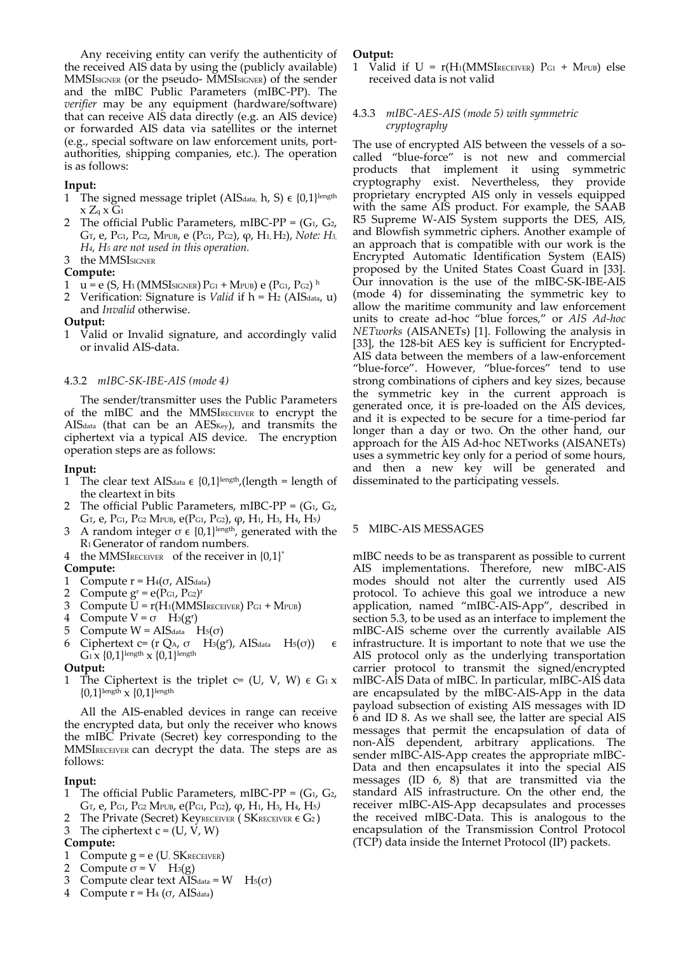Any receiving entity can verify the authenticity of the received AIS data by using the (publicly available) MMSISIGNER (or the pseudo‐ MMSISIGNER) of the sender and the mIBC Public Parameters (mIBC‐PP). The *verifier* may be any equipment (hardware/software) that can receive AIS data directly (e.g. an AIS device) or forwarded AIS data via satellites or the internet (e.g., special software on law enforcement units, port‐ authorities, shipping companies, etc.). The operation is as follows:

## **Input:**

- 1 The signed message triplet (AISdata, h, S)  $\epsilon$  {0,1}length  $x\,Z_q\,x\,G_1$
- 2 The official Public Parameters, mIBC-PP =  $(G_1, G_2, G_3)$ GT, e, PG1, PG2, MPUB, e (PG1, PG2), φ, H1, H2), *Note: H3, H4, H5 are not used in this operation.*

# 3 the MMSISIGNER

## **Compute:**

- $u = e$  (S, H<sub>1</sub> (MMSI<sub>SIGNER</sub>) P<sub>G1</sub> + M<sub>PUB</sub>) e (P<sub>G1</sub>, P<sub>G2</sub>) h
- Verification: Signature is *Valid* if h = H<sub>2</sub> (AIS<sub>data</sub>, u) and *Invalid* otherwise.

**Output:** 

1 Valid or Invalid signature, and accordingly valid or invalid AIS‐data.

#### 4.3.2 *mIBC‐SK‐IBE‐AIS (mode 4)*

The sender/transmitter uses the Public Parameters of the mIBC and the MMSIRECEIVER to encrypt the AIS<sub>data</sub> (that can be an AES<sub>Key</sub>), and transmits the ciphertext via a typical AIS device. The encryption operation steps are as follows:

#### **Input:**

- 1 The clear text AIS<sub>data</sub>  $\epsilon$  {0,1}length,(length = length of the cleartext in bits
- 2 The official Public Parameters, mIBC-PP =  $(G_1, G_2)$ GT, e, PG1, PG2 MPUB, e(PG1, PG2), φ, H1, H3, H4, H5*)*
- 3 A random integer  $\sigma \in \{0,1\}^{\text{length}}$ , generated with the R1Generator of random numbers.
- 4 the MMSIRECEIVER of the receiver in  ${0,1}^*$

#### **Compute:**

- 1 Compute  $r = H_4(\sigma, AIS<sub>data</sub>)$
- 2 Compute  $g<sup>r</sup> = e(P<sub>G1</sub>, P<sub>G2</sub>)<sup>r</sup>$
- 3 Compute  $U = r(H_1(MMSI_{RECEIVER}) P_{G1} + M_{PUB})$
- 4 Compute  $V = \sigma$  H<sub>3</sub>(g<sup>r</sup>)
- 5 Compute W = AIS<sub>data</sub> H<sub>5</sub>(σ)
- 6 Ciphertext c= (r QA,  $\sigma$  H<sub>3</sub>(g<sup>r</sup>), AIS<sub>data</sub> H<sub>5</sub>( $\sigma$ ))  $\epsilon$
- $G_1$  x  $\{0,1\}$ length x  $\{0,1\}$ length

#### **Output:**

1 The Ciphertext is the triplet  $c = (U, V, W) \in G_1 x$  ${0,1}$ length  $x {0,1}$ length

All the AIS‐enabled devices in range can receive the encrypted data, but only the receiver who knows the mIBC Private (Secret) key corresponding to the MMSIRECEIVER can decrypt the data. The steps are as follows:

#### **Input:**

- 1 The official Public Parameters, mIBC-PP =  $(G_1, G_2,$ GT, e, PG1, PG2 MPUB, e(PG1, PG2), φ, H1, H3, H4, H5*)*
- The Private (Secret) KeyRECEIVER ( SKRECEIVER  $\epsilon G_2$  )
- 3 The ciphertext  $c = (U, V, W)$

## **Compute:**

- 1 Compute  $g = e$  (U, SKRECEIVER)
- 2 Compute  $\sigma = V$  H<sub>3</sub>(g)
- 3 Compute clear text AISdata =  $W$  H<sub>5</sub>( $\sigma$ )
- 4 Compute  $r = H_4$  (σ, AISdata)

#### **Output:**

1 Valid if  $U = r(H_1(MMSIRECEIVER)$   $P_{G1} + M_{PUB}$  else received data is not valid

## 4.3.3 *mIBC‐AES‐AIS (mode 5) with symmetric cryptography*

The use of encrypted AIS between the vessels of a socalled "blue‐force" is not new and commercial products that implement it using symmetric cryptography exist. Nevertheless, they provide proprietary encrypted AIS only in vessels equipped with the same AIS product. For example, the SAAB R5 Supreme W‐AIS System supports the DES, AIS, and Blowfish symmetric ciphers. Another example of an approach that is compatible with our work is the Encrypted Automatic Identification System (EAIS) proposed by the United States Coast Guard in [33]. Our innovation is the use of the mIBC‐SK‐IBE‐AIS (mode 4) for disseminating the symmetric key to allow the maritime community and law enforcement units to create ad‐hoc "blue forces," or *AIS Ad‐hoc NETworks* (AISANETs) [1]. Following the analysis in [33], the 128-bit AES key is sufficient for Encrypted-AIS data between the members of a law-enforcement "blue‐force". However, "blue‐forces" tend to use strong combinations of ciphers and key sizes, because the symmetric key in the current approach is generated once, it is pre‐loaded on the AIS devices, and it is expected to be secure for a time‐period far longer than a day or two. On the other hand, our approach for the AIS Ad‐hoc NETworks (AISANETs) uses a symmetric key only for a period of some hours, and then a new key will be generated and disseminated to the participating vessels.

## 5 MIBC‐AIS MESSAGES

mIBC needs to be as transparent as possible to current AIS implementations. Therefore, new mIBC-AIS modes should not alter the currently used AIS protocol. To achieve this goal we introduce a new application, named "mIBC‐AIS‐App", described in section 5.3, to be used as an interface to implement the mIBC‐AIS scheme over the currently available AIS infrastructure. It is important to note that we use the AIS protocol only as the underlying transportation carrier protocol to transmit the signed/encrypted mIBC‐AIS Data of mIBC. In particular, mIBC‐AIS data are encapsulated by the mIBC‐AIS‐App in the data payload subsection of existing AIS messages with ID 6 and ID 8. As we shall see, the latter are special AIS messages that permit the encapsulation of data of non‐AIS dependent, arbitrary applications. The sender mIBC-AIS-App creates the appropriate mIBC-Data and then encapsulates it into the special AIS messages  $(ID 6, 8)$  that are transmitted via the standard AIS infrastructure. On the other end, the receiver mIBC‐AIS‐App decapsulates and processes the received mIBC‐Data. This is analogous to the encapsulation of the Transmission Control Protocol (TCP) data inside the Internet Protocol (IP) packets.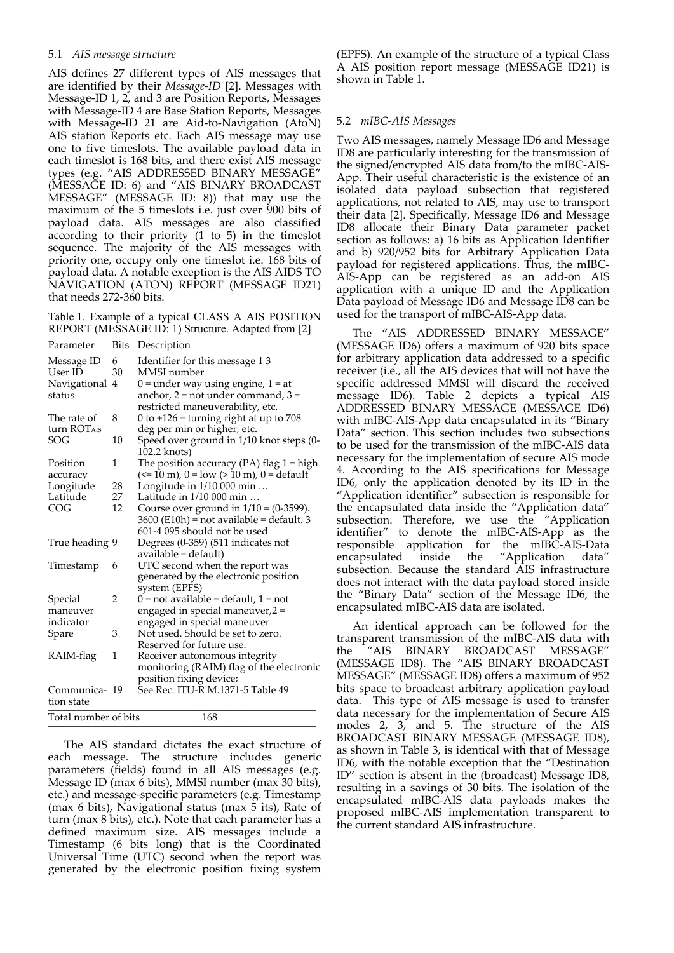## 5.1 *AIS message structure*

AIS defines 27 different types of AIS messages that are identified by their *Message‐ID* [2]. Messages with Message‐ID 1, 2, and 3 are Position Reports, Messages with Message-ID 4 are Base Station Reports, Messages with Message‐ID 21 are Aid‐to‐Navigation (AtoN) AIS station Reports etc. Each AIS message may use one to five timeslots. The available payload data in each timeslot is 168 bits, and there exist AIS message types (e.g. "AIS ADDRESSED BINARY MESSAGE" (MESSAGE ID: 6) and "AIS BINARY BROADCAST MESSAGE" (MESSAGE ID: 8)) that may use the maximum of the 5 timeslots i.e. just over 900 bits of payload data. AIS messages are also classified according to their priority (1 to 5) in the timeslot sequence. The majority of the AIS messages with priority one, occupy only one timeslot i.e. 168 bits of payload data. A notable exception is the AIS AIDS TO NAVIGATION (ATON) REPORT (MESSAGE ID21) that needs 272‐360 bits.

Table 1. Example of a typical CLASS A AIS POSITION REPORT (MESSAGE ID: 1) Structure. Adapted from [2]

| Parameter               | Bits | Description                                                                                                 |
|-------------------------|------|-------------------------------------------------------------------------------------------------------------|
| Message ID              | 6    | Identifier for this message 13                                                                              |
| User ID                 | 30   | MMSI number                                                                                                 |
| Navigational            | 4    | $0 =$ under way using engine, $1 =$ at                                                                      |
| status                  |      | anchor, $2 = not$ under command, $3 =$                                                                      |
|                         |      | restricted maneuverability, etc.                                                                            |
| The rate of             | 8    | 0 to $+126$ = turning right at up to 708                                                                    |
| turn ROT <sub>AIS</sub> |      | deg per min or higher, etc.                                                                                 |
| SOG                     | 10   | Speed over ground in 1/10 knot steps (0-                                                                    |
|                         |      | 102.2 knots)                                                                                                |
| Position                | 1    | The position accuracy (PA) flag $1 = high$                                                                  |
| accuracy                |      | $\left(\leq 10 \text{ m}\right)$ , $0 = \text{low}$ $\left(\geq 10 \text{ m}\right)$ , $0 = \text{default}$ |
| Longitude               | 28   | Longitude in 1/10 000 min                                                                                   |
| Latitude                | 27   | Latitude in 1/10 000 min                                                                                    |
| COG                     | 12   | Course over ground in $1/10 = (0-3599)$ .                                                                   |
|                         |      | 3600 (E10h) = not available = default. 3                                                                    |
|                         |      | 601-4 095 should not be used                                                                                |
| True heading 9          |      | Degrees (0-359) (511 indicates not                                                                          |
|                         |      | available = default)                                                                                        |
| Timestamp               | 6    | UTC second when the report was                                                                              |
|                         |      | generated by the electronic position                                                                        |
|                         |      | system (EPFS)                                                                                               |
| Special                 | 2    | 0 = not available = default, 1 = not                                                                        |
| maneuver                |      | engaged in special maneuver,2 =                                                                             |
| indicator               |      | engaged in special maneuver                                                                                 |
| Spare                   | 3    | Not used. Should be set to zero.                                                                            |
|                         |      | Reserved for future use.                                                                                    |
| RAIM-flag               | 1    | Receiver autonomous integrity                                                                               |
|                         |      | monitoring (RAIM) flag of the electronic                                                                    |
|                         |      | position fixing device;                                                                                     |
| Communica- 19           |      | .<br>See Rec. ITU-Ř M.1371-5 Table 49                                                                       |
| tion state              |      |                                                                                                             |
| Total number of bits    |      | 168                                                                                                         |
|                         |      |                                                                                                             |

The AIS standard dictates the exact structure of each message. The structure includes generic parameters (fields) found in all AIS messages (e.g. Message ID (max 6 bits), MMSI number (max 30 bits), etc.) and message‐specific parameters (e.g. Timestamp (max 6 bits), Navigational status (max 5 its), Rate of turn (max 8 bits), etc.). Note that each parameter has a defined maximum size. AIS messages include a Timestamp (6 bits long) that is the Coordinated Universal Time (UTC) second when the report was generated by the electronic position fixing system

(EPFS). An example of the structure of a typical Class A AIS position report message (MESSAGE ID21) is shown in Table 1.

## 5.2 *mIBC‐AIS Messages*

Two AIS messages, namely Message ID6 and Message ID8 are particularly interesting for the transmission of the signed/encrypted AIS data from/to the mIBC‐AIS‐ App. Their useful characteristic is the existence of an isolated data payload subsection that registered applications, not related to AIS, may use to transport their data [2]. Specifically, Message ID6 and Message ID8 allocate their Binary Data parameter packet section as follows: a) 16 bits as Application Identifier and b) 920/952 bits for Arbitrary Application Data payload for registered applications. Thus, the mIBC‐ AIS‐App can be registered as an add‐on AIS application with a unique ID and the Application Data payload of Message ID6 and Message ID8 can be used for the transport of mIBC‐AIS‐App data.

The "AIS ADDRESSED BINARY MESSAGE" (MESSAGE ID6) offers a maximum of 920 bits space for arbitrary application data addressed to a specific receiver (i.e., all the AIS devices that will not have the specific addressed MMSI will discard the received message ID6). Table 2 depicts a typical AIS ADDRESSED BINARY MESSAGE (MESSAGE ID6) with mIBC‐AIS‐App data encapsulated in its "Binary Data" section. This section includes two subsections to be used for the transmission of the mIBC‐AIS data necessary for the implementation of secure AIS mode 4. According to the AIS specifications for Message ID6, only the application denoted by its ID in the "Application identifier" subsection is responsible for the encapsulated data inside the "Application data" subsection. Therefore, we use the "Application identifier" to denote the mIBC‐AIS‐App as the responsible application for the mIBC‐AIS‐Data encapsulated inside the "Application data" subsection. Because the standard AIS infrastructure does not interact with the data payload stored inside the "Binary Data" section of the Message ID6, the encapsulated mIBC‐AIS data are isolated.

An identical approach can be followed for the transparent transmission of the mIBC‐AIS data with the "AIS BINARY BROADCAST MESSAGE" (MESSAGE ID8). The "AIS BINARY BROADCAST MESSAGE" (MESSAGE ID8) offers a maximum of 952 bits space to broadcast arbitrary application payload data. This type of AIS message is used to transfer data necessary for the implementation of Secure AIS modes 2, 3, and 5. The structure of the AIS BROADCAST BINARY MESSAGE (MESSAGE ID8), as shown in Table 3, is identical with that of Message ID6, with the notable exception that the "Destination ID" section is absent in the (broadcast) Message ID8, resulting in a savings of 30 bits. The isolation of the encapsulated mIBC‐AIS data payloads makes the proposed mIBC‐AIS implementation transparent to the current standard AIS infrastructure.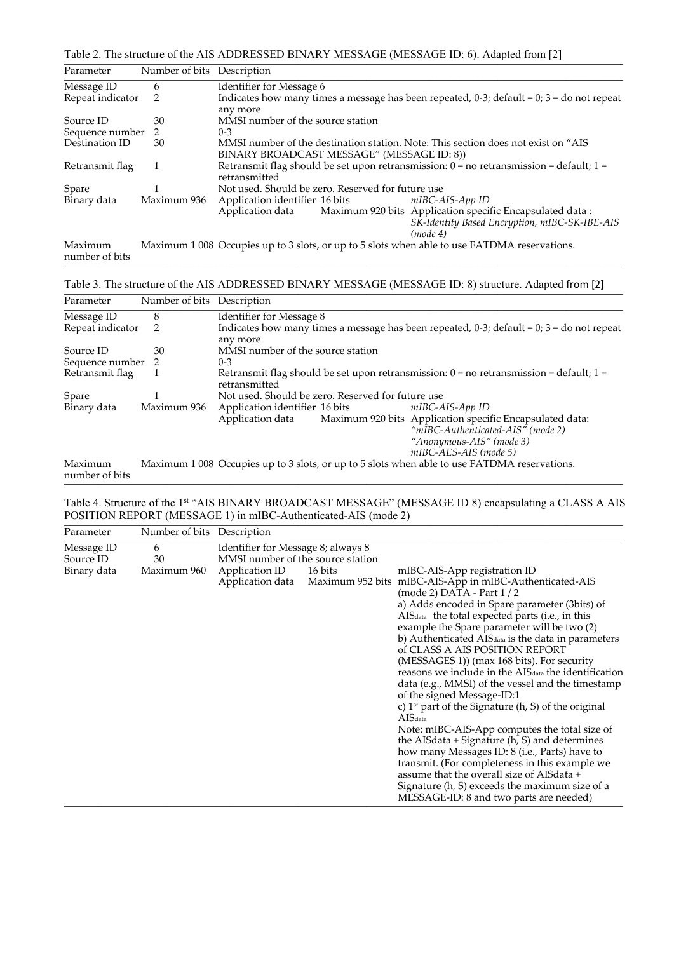| Table 2. The structure of the AIS ADDRESSED BINARY MESSAGE (MESSAGE ID: 6). Adapted from [2] |  |
|----------------------------------------------------------------------------------------------|--|
|----------------------------------------------------------------------------------------------|--|

| Parameter                 | Number of bits Description |                                                                                                                                           |  |  |  |
|---------------------------|----------------------------|-------------------------------------------------------------------------------------------------------------------------------------------|--|--|--|
| Message ID                | 6                          | Identifier for Message 6                                                                                                                  |  |  |  |
| Repeat indicator          | 2                          | Indicates how many times a message has been repeated, $0-3$ ; default = 0; $3 =$ do not repeat                                            |  |  |  |
|                           |                            | any more                                                                                                                                  |  |  |  |
| Source ID                 | 30                         | MMSI number of the source station                                                                                                         |  |  |  |
| Sequence number           | 2                          | $0 - 3$                                                                                                                                   |  |  |  |
| Destination ID            | 30                         | MMSI number of the destination station. Note: This section does not exist on "AIS"                                                        |  |  |  |
|                           |                            | BINARY BROADCAST MESSAGE" (MESSAGE ID: 8))                                                                                                |  |  |  |
| Retransmit flag           | 1                          | Retransmit flag should be set upon retransmission: $0 =$ no retransmission = default; $1 =$                                               |  |  |  |
|                           |                            | retransmitted                                                                                                                             |  |  |  |
| Spare                     |                            | Not used. Should be zero. Reserved for future use                                                                                         |  |  |  |
| Binary data               | Maximum 936                | Application identifier 16 bits<br>mIBC-AIS-App ID                                                                                         |  |  |  |
|                           |                            | Maximum 920 bits Application specific Encapsulated data:<br>Application data<br>SK-Identity Based Encryption, mIBC-SK-IBE-AIS<br>(mode 4) |  |  |  |
| Maximum<br>number of bits |                            | Maximum 1 008 Occupies up to 3 slots, or up to 5 slots when able to use FATDMA reservations.                                              |  |  |  |

# Table 3. The structure of the AIS ADDRESSED BINARY MESSAGE (MESSAGE ID: 8) structure. Adapted from [2]

| Parameter                 | Number of bits Description |                                                                                                                                                                        |  |  |  |
|---------------------------|----------------------------|------------------------------------------------------------------------------------------------------------------------------------------------------------------------|--|--|--|
| Message ID                | 8                          | Identifier for Message 8                                                                                                                                               |  |  |  |
| Repeat indicator<br>2     |                            | Indicates how many times a message has been repeated, 0-3; default = $0$ ; 3 = do not repeat                                                                           |  |  |  |
| Source ID                 | 30                         | any more<br>MMSI number of the source station                                                                                                                          |  |  |  |
| Sequence number 2         |                            | $0 - 3$                                                                                                                                                                |  |  |  |
| Retransmit flag           |                            | Retransmit flag should be set upon retransmission: $0 =$ no retransmission = default; $1 =$<br>retransmitted                                                           |  |  |  |
| Spare                     |                            | Not used. Should be zero. Reserved for future use                                                                                                                      |  |  |  |
| Binary data               | Maximum 936                | Application identifier 16 bits mIBC-AIS-App ID                                                                                                                         |  |  |  |
|                           |                            | Maximum 920 bits Application specific Encapsulated data:<br>Application data<br>"mIBC-Authenticated-AIS" (mode 2)<br>"Anonymous-AIS" (mode 3)<br>mIBC-AES-AIS (mode 5) |  |  |  |
| Maximum<br>number of bits |                            | Maximum 1 008 Occupies up to 3 slots, or up to 5 slots when able to use FATDMA reservations.                                                                           |  |  |  |

Table 4. Structure of the 1st "AIS BINARY BROADCAST MESSAGE" (MESSAGE ID 8) encapsulating a CLASS A AIS POSITION REPORT (MESSAGE 1) in mIBC-Authenticated-AIS (mode 2)

| Parameter   | Number of bits | Description                        |                                   |                                                                                                                                                                                                                                                                                                                                                                                                                                                                                                                                                                                                                                                                                                                                                                                                                                                                                                                                                                                                                    |  |  |
|-------------|----------------|------------------------------------|-----------------------------------|--------------------------------------------------------------------------------------------------------------------------------------------------------------------------------------------------------------------------------------------------------------------------------------------------------------------------------------------------------------------------------------------------------------------------------------------------------------------------------------------------------------------------------------------------------------------------------------------------------------------------------------------------------------------------------------------------------------------------------------------------------------------------------------------------------------------------------------------------------------------------------------------------------------------------------------------------------------------------------------------------------------------|--|--|
| Message ID  | 6              | Identifier for Message 8; always 8 |                                   |                                                                                                                                                                                                                                                                                                                                                                                                                                                                                                                                                                                                                                                                                                                                                                                                                                                                                                                                                                                                                    |  |  |
| Source ID   | 30             |                                    | MMSI number of the source station |                                                                                                                                                                                                                                                                                                                                                                                                                                                                                                                                                                                                                                                                                                                                                                                                                                                                                                                                                                                                                    |  |  |
| Binary data | Maximum 960    | Application ID                     | 16 bits                           | mIBC-AIS-App registration ID                                                                                                                                                                                                                                                                                                                                                                                                                                                                                                                                                                                                                                                                                                                                                                                                                                                                                                                                                                                       |  |  |
|             |                |                                    |                                   | Application data Maximum 952 bits mIBC-AIS-App in mIBC-Authenticated-AIS<br>$(mod e 2)$ DATA - Part $1/2$<br>a) Adds encoded in Spare parameter (3bits) of<br>AIS <sub>data</sub> the total expected parts (i.e., in this<br>example the Spare parameter will be two (2)<br>b) Authenticated AIS <sub>data</sub> is the data in parameters<br>of CLASS A AIS POSITION REPORT<br>(MESSAGES 1)) (max 168 bits). For security<br>reasons we include in the AIS <sub>data</sub> the identification<br>data (e.g., MMSI) of the vessel and the timestamp<br>of the signed Message-ID:1<br>c) $1st$ part of the Signature (h, S) of the original<br>AIS <sub>data</sub><br>Note: mIBC-AIS-App computes the total size of<br>the AISdata $+$ Signature (h, S) and determines<br>how many Messages ID: 8 (i.e., Parts) have to<br>transmit. (For completeness in this example we<br>assume that the overall size of AISdata +<br>Signature (h, S) exceeds the maximum size of a<br>MESSAGE-ID: 8 and two parts are needed) |  |  |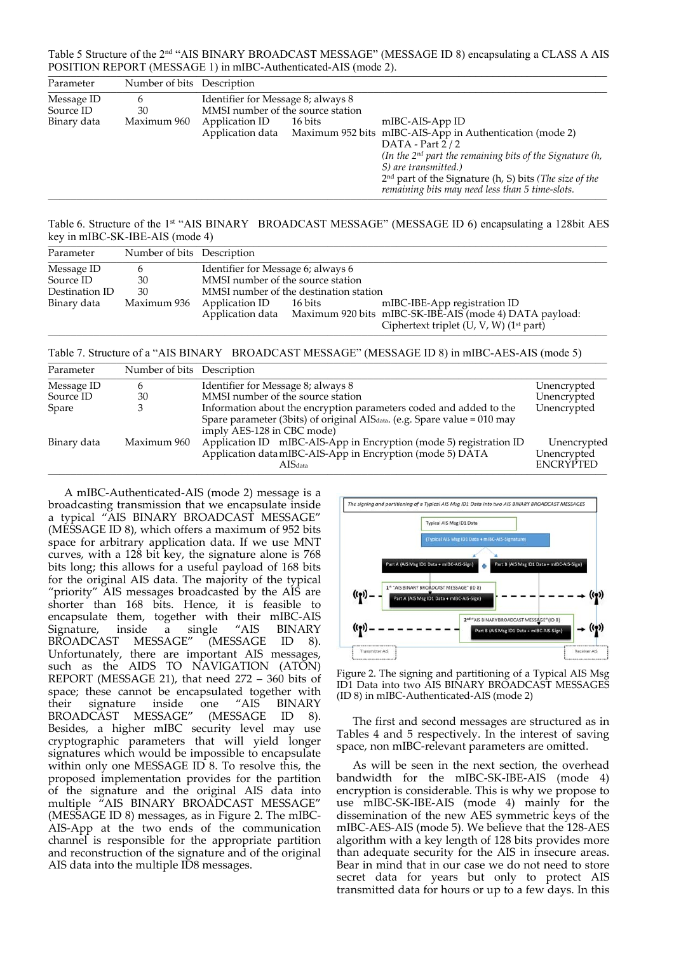Table 5 Structure of the 2nd "AIS BINARY BROADCAST MESSAGE" (MESSAGE ID 8) encapsulating a CLASS A AIS POSITION REPORT (MESSAGE 1) in mIBC-Authenticated-AIS (mode 2).

| Parameter   | Number of bits Description |                                    |         |                                                                                                                     |  |
|-------------|----------------------------|------------------------------------|---------|---------------------------------------------------------------------------------------------------------------------|--|
| Message ID  | h                          | Identifier for Message 8; always 8 |         |                                                                                                                     |  |
| Source ID   | 30                         | MMSI number of the source station  |         |                                                                                                                     |  |
| Binary data | Maximum 960                | Application ID                     | 16 bits | mIBC-AIS-App ID                                                                                                     |  |
|             |                            |                                    |         | Application data Maximum 952 bits mIBC-AIS-App in Authentication (mode 2)                                           |  |
|             |                            |                                    |         | DATA - Part $2/2$                                                                                                   |  |
|             |                            |                                    |         | (In the $2^{nd}$ part the remaining bits of the Signature $(h, h)$                                                  |  |
|             |                            |                                    |         | S) are transmitted.)                                                                                                |  |
|             |                            |                                    |         | $2nd$ part of the Signature (h, S) bits ( <i>The size of the</i><br>remaining bits may need less than 5 time-slots. |  |

Table 6. Structure of the 1<sup>st</sup> "AIS BINARY BROADCAST MESSAGE" (MESSAGE ID 6) encapsulating a 128bit AES key in mIBC-SK-IBE-AIS (mode 4)

| Parameter               | Number of bits Description |                                                                                                                                                                                    |                                        |  |  |  |
|-------------------------|----------------------------|------------------------------------------------------------------------------------------------------------------------------------------------------------------------------------|----------------------------------------|--|--|--|
| Message ID<br>Source ID | $\mathbf b$<br>30          | Identifier for Message 6; always 6<br>MMSI number of the source station                                                                                                            |                                        |  |  |  |
| Destination ID          | 30                         |                                                                                                                                                                                    | MMSI number of the destination station |  |  |  |
| Binary data             | Maximum 936                | mIBC-IBE-App registration ID<br>Application ID<br>16 bits<br>Application data Maximum 920 bits mIBC-SK-IBE-AIS (mode 4) DATA payload:<br>Ciphertext triplet (U, V, W) $(1st$ part) |                                        |  |  |  |

Table 7. Structure of a "AIS BINARY BROADCAST MESSAGE" (MESSAGE ID 8) in mIBC-AES-AIS (mode 5)

| Parameter   | Number of bits Description |                                                                                                                                                |                                                |
|-------------|----------------------------|------------------------------------------------------------------------------------------------------------------------------------------------|------------------------------------------------|
| Message ID  | h                          | Identifier for Message 8; always 8                                                                                                             | Unencrypted                                    |
| Source ID   | 30                         | MMSI number of the source station                                                                                                              | Unencrypted                                    |
| Spare       |                            | Information about the encryption parameters coded and added to the                                                                             | Unencrypted                                    |
|             |                            | Spare parameter (3bits) of original AIS $_{data}$ . (e.g. Spare value = 010 may<br>imply AES-128 in CBC mode)                                  |                                                |
| Binary data | Maximum 960                | Application ID mIBC-AIS-App in Encryption (mode 5) registration ID<br>Application datamIBC-AIS-App in Encryption (mode 5) DATA<br>$AIS_{data}$ | Unencrypted<br>Unencrypted<br><b>ENCRYPTED</b> |

A mIBC‐Authenticated‐AIS (mode 2) message is a broadcasting transmission that we encapsulate inside a typical "AIS BINARY BROADCAST MESSAGE" (MESSAGE ID 8), which offers a maximum of 952 bits space for arbitrary application data. If we use MNT curves, with a 128 bit key, the signature alone is 768 bits long; this allows for a useful payload of 168 bits for the original AIS data. The majority of the typical "priority" AIS messages broadcasted by the AIS are shorter than 168 bits. Hence, it is feasible to encapsulate them, together with their mIBC-AIS<br>Signature, inside a single "AIS BINARY Signature, inside a single "AIS BINARY<br>BROADCAST MESSAGE" (MESSAGE ID 8). BROADCAST MESSAGE" (MESSAGE ID 8). Unfortunately, there are important AIS messages, such as the AIDS TO NAVIGATION (ATON) REPORT (MESSAGE 21), that need  $272 - 360$  bits of space; these cannot be encapsulated together with<br>their signature inside one "AIS BINARY their signature inside one "AIS BINARY<br>BROADCAST MESSAGE" (MESSAGE ID 8). BROADCAST MESSAGE" (MESSAGE ID 8). Besides, a higher mIBC security level may use cryptographic parameters that will yield longer signatures which would be impossible to encapsulate within only one MESSAGE ID 8. To resolve this, the proposed implementation provides for the partition of the signature and the original AIS data into multiple "AIS BINARY BROADCAST MESSAGE" (MESSAGE ID 8) messages, as in Figure 2. The mIBC‐ AIS‐App at the two ends of the communication channel is responsible for the appropriate partition and reconstruction of the signature and of the original AIS data into the multiple ID8 messages.



Figure 2. The signing and partitioning of a Typical AIS Msg ID1 Data into two AIS BINARY BROADCAST MESSAGES (ID 8) in mIBC‐Authenticated‐AIS (mode 2)

The first and second messages are structured as in Tables 4 and 5 respectively. In the interest of saving space, non mIBC‐relevant parameters are omitted.

As will be seen in the next section, the overhead bandwidth for the mIBC‐SK‐IBE‐AIS (mode 4) encryption is considerable. This is why we propose to use mIBC‐SK‐IBE‐AIS (mode 4) mainly for the dissemination of the new AES symmetric keys of the mIBC‐AES‐AIS (mode 5). We believe that the 128‐AES algorithm with a key length of 128 bits provides more than adequate security for the AIS in insecure areas. Bear in mind that in our case we do not need to store secret data for years but only to protect AIS transmitted data for hours or up to a few days. In this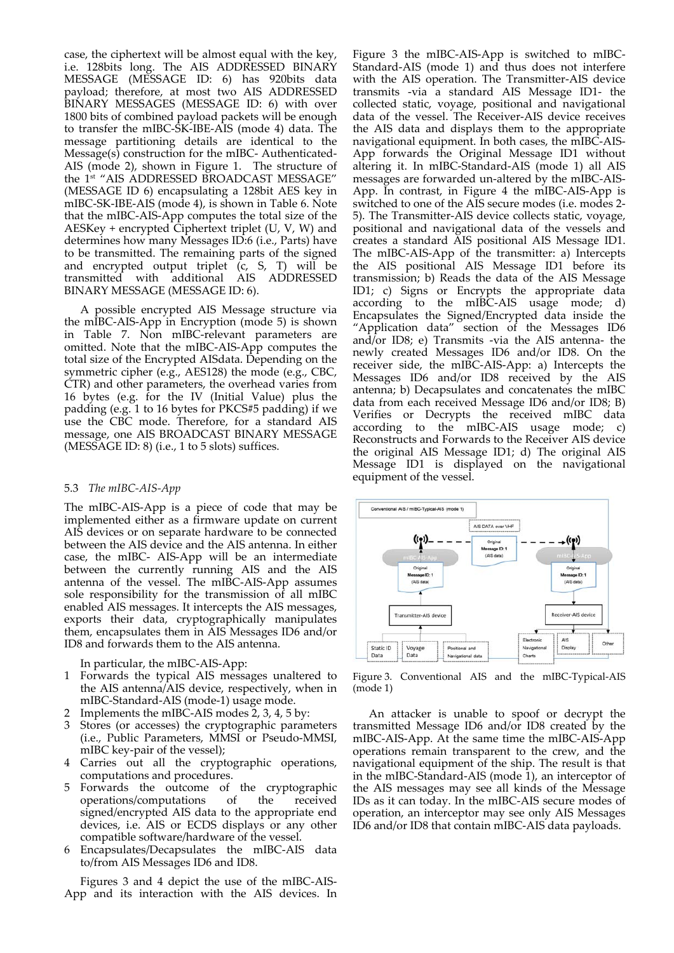case, the ciphertext will be almost equal with the key, i.e. 128bits long. The AIS ADDRESSED BINARY MESSAGE (MESSAGE ID: 6) has 920bits data payload; therefore, at most two AIS ADDRESSED BINARY MESSAGES (MESSAGE ID: 6) with over 1800 bits of combined payload packets will be enough to transfer the mIBC‐SK‐IBE‐AIS (mode 4) data. The message partitioning details are identical to the Message(s) construction for the mIBC- Authenticated-AIS (mode 2), shown in Figure 1. The structure of the 1st "AIS ADDRESSED BROADCAST MESSAGE" (MESSAGE ID 6) encapsulating a 128bit AES key in mIBC‐SK‐IBE‐AIS (mode 4), is shown in Table 6. Note that the mIBC‐AIS‐App computes the total size of the AESKey + encrypted Ciphertext triplet (U, V, W) and determines how many Messages ID:6 (i.e., Parts) have to be transmitted. The remaining parts of the signed and encrypted output triplet (c, S, T) will be transmitted with additional AIS ADDRESSED BINARY MESSAGE (MESSAGE ID: 6).

A possible encrypted AIS Message structure via the mIBC‐AIS‐App in Encryption (mode 5) is shown in Table 7. Non mIBC‐relevant parameters are omitted. Note that the mIBC‐AIS‐App computes the total size of the Encrypted AISdata. Depending on the symmetric cipher (e.g., AES128) the mode (e.g., CBC, CTR) and other parameters, the overhead varies from 16 bytes (e.g. for the IV (Initial Value) plus the padding (e.g. 1 to 16 bytes for PKCS#5 padding) if we use the CBC mode. Therefore, for a standard AIS message, one AIS BROADCAST BINARY MESSAGE (MESSAGE ID: 8) (i.e., 1 to 5 slots) suffices.

## 5.3 *The mIBC‐AIS‐App*

The mIBC‐AIS‐App is a piece of code that may be implemented either as a firmware update on current AIS devices or on separate hardware to be connected between the AIS device and the AIS antenna. In either case, the mIBC‐ AIS‐App will be an intermediate between the currently running AIS and the AIS antenna of the vessel. The mIBC‐AIS‐App assumes sole responsibility for the transmission of all mIBC enabled AIS messages. It intercepts the AIS messages, exports their data, cryptographically manipulates them, encapsulates them in AIS Messages ID6 and/or ID8 and forwards them to the AIS antenna.

In particular, the mIBC‐AIS‐App:

- 1 Forwards the typical AIS messages unaltered to the AIS antenna/AIS device, respectively, when in mIBC‐Standard‐AIS (mode‐1) usage mode.
- 2 Implements the mIBC‐AIS modes 2, 3, 4, 5 by:
- 3 Stores (or accesses) the cryptographic parameters (i.e., Public Parameters, MMSI or Pseudo‐MMSI, mIBC key-pair of the vessel);
- 4 Carries out all the cryptographic operations, computations and procedures.
- 5 Forwards the outcome of the cryptographic operations/computations of the received signed/encrypted AIS data to the appropriate end devices, i.e. AIS or ECDS displays or any other compatible software/hardware of the vessel.
- 6 Encapsulates/Decapsulates the mIBC‐AIS data to/from AIS Messages ID6 and ID8.

Figures 3 and 4 depict the use of the mIBC‐AIS‐ App and its interaction with the AIS devices. In Figure 3 the mIBC‐AIS‐App is switched to mIBC‐ Standard‐AIS (mode 1) and thus does not interfere with the AIS operation. The Transmitter-AIS device transmits ‐via a standard AIS Message ID1‐ the collected static, voyage, positional and navigational data of the vessel. The Receiver‐AIS device receives the AIS data and displays them to the appropriate navigational equipment. In both cases, the mIBC‐AIS‐ App forwards the Original Message ID1 without altering it. In mIBC‐Standard‐AIS (mode 1) all AIS messages are forwarded un‐altered by the mIBC‐AIS‐ App. In contrast, in Figure 4 the mIBC‐AIS‐App is switched to one of the AIS secure modes (i.e. modes 2‐ 5). The Transmitter‐AIS device collects static, voyage, positional and navigational data of the vessels and creates a standard AIS positional AIS Message ID1. The mIBC‐AIS‐App of the transmitter: a) Intercepts the AIS positional AIS Message ID1 before its transmission; b) Reads the data of the AIS Message ID1; c) Signs or Encrypts the appropriate data according to the mIBC-AIS usage mode; d) Encapsulates the Signed/Encrypted data inside the "Application data" section of the Messages ID6 and/or ID8; e) Transmits ‐via the AIS antenna‐ the newly created Messages ID6 and/or ID8. On the receiver side, the mIBC‐AIS‐App: a) Intercepts the Messages ID6 and/or ID8 received by the AIS antenna; b) Decapsulates and concatenates the mIBC data from each received Message ID6 and/or ID8; B) Verifies or Decrypts the received mIBC data according to the mIBC‐AIS usage mode; c) Reconstructs and Forwards to the Receiver AIS device the original AIS Message ID1; d) The original AIS Message ID1 is displayed on the navigational equipment of the vessel.



Figure 3. Conventional AIS and the mIBC-Typical-AIS (mode 1)

An attacker is unable to spoof or decrypt the transmitted Message ID6 and/or ID8 created by the mIBC‐AIS‐App. At the same time the mIBC‐AIS‐App operations remain transparent to the crew, and the navigational equipment of the ship. The result is that in the mIBC‐Standard‐AIS (mode 1), an interceptor of the AIS messages may see all kinds of the Message IDs as it can today. In the mIBC‐AIS secure modes of operation, an interceptor may see only AIS Messages ID6 and/or ID8 that contain mIBC‐AIS data payloads.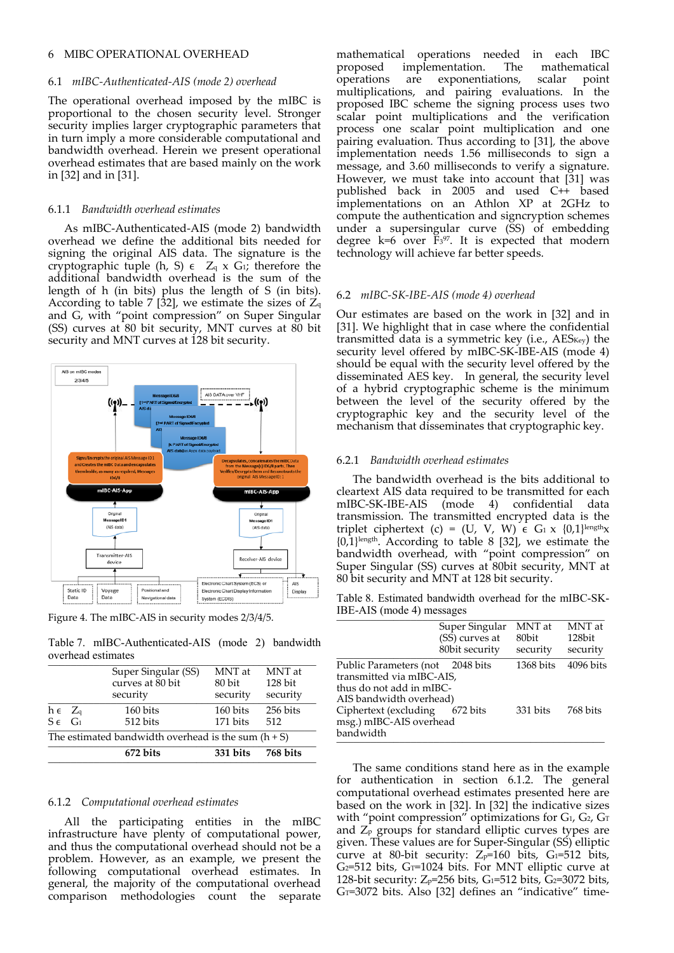## 6 MIBC OPERATIONAL OVERHEAD

#### 6.1 *mIBC‐Authenticated‐AIS (mode 2) overhead*

The operational overhead imposed by the mIBC is proportional to the chosen security level. Stronger security implies larger cryptographic parameters that in turn imply a more considerable computational and bandwidth overhead. Herein we present operational overhead estimates that are based mainly on the work in [32] and in [31].

#### 6.1.1 *Bandwidth overhead estimates*

As mIBC‐Authenticated‐AIS (mode 2) bandwidth overhead we define the additional bits needed for signing the original AIS data. The signature is the cryptographic tuple (h, S)  $\epsilon$   $Z_q$  x G<sub>1</sub>; therefore the additional bandwidth overhead is the sum of the length of h (in bits) plus the length of S (in bits). According to table 7 [32], we estimate the sizes of  $Z_q$ and G, with "point compression" on Super Singular (SS) curves at 80 bit security, MNT curves at 80 bit security and MNT curves at 128 bit security.



Figure 4. The mIBC‐AIS in security modes 2/3/4/5.

Table 7. mIBC-Authenticated-AIS (mode 2) bandwidth overhead estimates

|                                                       |  | 672 bits                                            | 331 bits                     | 768 bits                        |  |  |
|-------------------------------------------------------|--|-----------------------------------------------------|------------------------------|---------------------------------|--|--|
| The estimated bandwidth overhead is the sum $(h + S)$ |  |                                                     |                              |                                 |  |  |
| $h \in Z_q$<br>$S \in G_1$                            |  | 160 bits<br>512 bits                                | 160 bits<br>171 bits         | 256 bits<br>512                 |  |  |
|                                                       |  | Super Singular (SS)<br>curves at 80 bit<br>security | MNT at<br>80 bit<br>security | MNT at<br>$128$ bit<br>security |  |  |

## 6.1.2 *Computational overhead estimates*

All the participating entities in the mIBC infrastructure have plenty of computational power, and thus the computational overhead should not be a problem. However, as an example, we present the following computational overhead estimates. In general, the majority of the computational overhead comparison methodologies count the separate

mathematical operations needed in each IBC<br>proposed implementation. The mathematical proposed implementation. operations are exponentiations, scalar point multiplications, and pairing evaluations. In the proposed IBC scheme the signing process uses two scalar point multiplications and the verification process one scalar point multiplication and one pairing evaluation. Thus according to [31], the above implementation needs 1.56 milliseconds to sign a message, and 3.60 milliseconds to verify a signature. However, we must take into account that [31] was published back in 2005 and used C++ based implementations on an Athlon XP at 2GHz to compute the authentication and signcryption schemes under a supersingular curve (SS) of embedding degree  $k=6$  over  $\tilde{F}_3$ <sup>97</sup>. It is expected that modern technology will achieve far better speeds.

#### 6.2 *mIBC‐SK‐IBE‐AIS (mode 4) overhead*

Our estimates are based on the work in [32] and in [31]. We highlight that in case where the confidential transmitted data is a symmetric key (i.e.,  $\overline{AES_{Key}}$ ) the security level offered by mIBC-SK-IBE-AIS (mode 4) should be equal with the security level offered by the disseminated AES key. In general, the security level of a hybrid cryptographic scheme is the minimum between the level of the security offered by the cryptographic key and the security level of the mechanism that disseminates that cryptographic key.

## 6.2.1 *Bandwidth overhead estimates*

The bandwidth overhead is the bits additional to cleartext AIS data required to be transmitted for each mIBC‐SK‐IBE‐AIS (mode 4) confidential data transmission. The transmitted encrypted data is the triplet ciphertext (c) = (U, V, W)  $\epsilon$  G<sub>1</sub> x {0,1}length<sub>x</sub>  ${0,1}$ <sup>length</sup>. According to table 8 [32], we estimate the bandwidth overhead, with "point compression" on Super Singular (SS) curves at 80bit security, MNT at 80 bit security and MNT at 128 bit security.

Table 8. Estimated bandwidth overhead for the mIBC-SK-IBE-AIS (mode 4) messages \_\_\_\_\_\_\_\_\_\_\_\_\_\_\_\_\_\_\_\_\_\_\_\_\_\_\_\_\_\_\_\_\_\_\_\_\_\_\_\_\_\_\_\_\_\_\_

|                                                                                                                      | Super Singular<br>(SS) curves at<br>80bit security | MNT at<br>80bit<br>security | MNT at<br>128bit<br>security |
|----------------------------------------------------------------------------------------------------------------------|----------------------------------------------------|-----------------------------|------------------------------|
| Public Parameters (not 2048 bits<br>transmitted via mIBC-AIS,<br>thus do not add in mIBC-<br>AIS bandwidth overhead) |                                                    | 1368 bits                   | 4096 bits                    |
| Ciphertext (excluding 672 bits<br>msg.) mIBC-AIS overhead<br>bandwidth                                               |                                                    | 331 bits                    | 768 bits                     |

The same conditions stand here as in the example for authentication in section 6.1.2. The general computational overhead estimates presented here are based on the work in [32]. In [32] the indicative sizes with "point compression" optimizations for  $G_1$ ,  $G_2$ ,  $G_1$ and  $Z_{\rm P}$  groups for standard elliptic curves types are given. These values are for Super‐Singular (SS) elliptic curve at 80-bit security:  $Z_{p}$ =160 bits, G<sub>1</sub>=512 bits,  $G_2$ =512 bits,  $G_T$ =1024 bits. For MNT elliptic curve at 128-bit security:  $Z_p$ =256 bits, G<sub>1</sub>=512 bits, G<sub>2</sub>=3072 bits,  $G_T$ =3072 bits. Also [32] defines an "indicative" time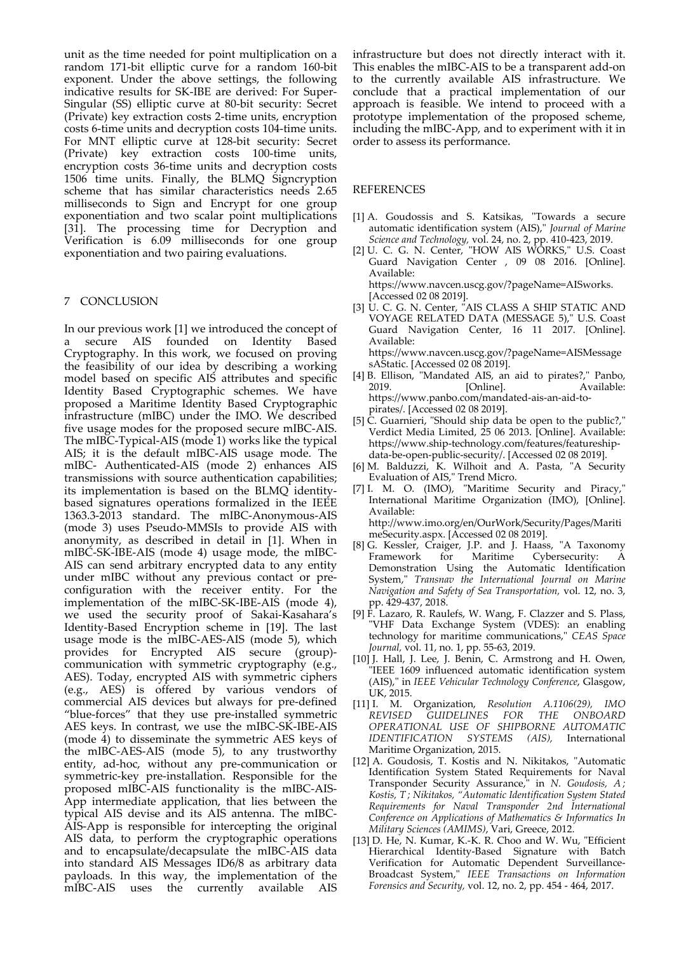unit as the time needed for point multiplication on a random 171‐bit elliptic curve for a random 160‐bit exponent. Under the above settings, the following indicative results for SK‐IBE are derived: For Super‐ Singular (SS) elliptic curve at 80‐bit security: Secret (Private) key extraction costs 2‐time units, encryption costs 6‐time units and decryption costs 104‐time units. For MNT elliptic curve at 128‐bit security: Secret (Private) key extraction costs 100‐time units, encryption costs 36‐time units and decryption costs 1506 time units. Finally, the BLMQ Signcryption scheme that has similar characteristics needs 2.65 milliseconds to Sign and Encrypt for one group exponentiation and two scalar point multiplications [31]. The processing time for Decryption and Verification is 6.09 milliseconds for one group exponentiation and two pairing evaluations.

## 7 CONCLUSION

In our previous work [1] we introduced the concept of a secure AIS founded on Identity Based Cryptography. In this work, we focused on proving the feasibility of our idea by describing a working model based on specific AIS attributes and specific Identity Based Cryptographic schemes. We have proposed a Maritime Identity Based Cryptographic infrastructure (mIBC) under the IMO. We described five usage modes for the proposed secure mIBC‐AIS. The mIBC-Typical-AIS (mode 1) works like the typical AIS; it is the default mIBC‐AIS usage mode. The mIBC‐ Authenticated‐AIS (mode 2) enhances AIS transmissions with source authentication capabilities; its implementation is based on the BLMQ identity‐ based signatures operations formalized in the IEEE 1363.3‐2013 standard. The mIBC‐Anonymous‐AIS (mode 3) uses Pseudo‐MMSIs to provide AIS with anonymity, as described in detail in [1]. When in mIBC‐SK‐IBE‐AIS (mode 4) usage mode, the mIBC‐ AIS can send arbitrary encrypted data to any entity under mIBC without any previous contact or pre‐ configuration with the receiver entity. For the implementation of the mIBC‐SK‐IBE‐AIS (mode 4), we used the security proof of Sakai‐Kasahara's Identity‐Based Encryption scheme in [19]. The last usage mode is the mIBC‐AES‐AIS (mode 5), which provides for Encrypted AIS secure (group)‐ communication with symmetric cryptography (e.g., AES). Today, encrypted AIS with symmetric ciphers (e.g., AES) is offered by various vendors of commercial AIS devices but always for pre‐defined "blue‐forces" that they use pre‐installed symmetric AES keys. In contrast, we use the mIBC‐SK‐IBE‐AIS (mode 4) to disseminate the symmetric AES keys of the mIBC‐AES‐AIS (mode 5), to any trustworthy entity, ad‐hoc, without any pre‐communication or symmetric‐key pre‐installation. Responsible for the proposed mIBC‐AIS functionality is the mIBC‐AIS‐ App intermediate application, that lies between the typical AIS devise and its AIS antenna. The mIBC‐ AIS‐App is responsible for intercepting the original AIS data, to perform the cryptographic operations and to encapsulate/decapsulate the mIBC‐AIS data into standard AIS Messages ID6/8 as arbitrary data payloads. In this way, the implementation of the mIBC‐AIS uses the currently available AIS

infrastructure but does not directly interact with it. This enables the mIBC‐AIS to be a transparent add‐on to the currently available AIS infrastructure. We conclude that a practical implementation of our approach is feasible. We intend to proceed with a prototype implementation of the proposed scheme, including the mIBC‐App, and to experiment with it in order to assess its performance.

## REFERENCES

- [1] A. Goudossis and S. Katsikas, "Towards a secure automatic identification system (AIS),ʺ *Journal of Marine Science and Technology,* vol. 24, no. 2, pp. 410‐423, 2019.
- [2] U. C. G. N. Center, "HOW AIS WORKS," U.S. Coast Guard Navigation Center , 09 08 2016. [Online]. Available: https://www.navcen.uscg.gov/?pageName=AISworks.

[Accessed 02 08 2019]. [3] U. C. G. N. Center, "AIS CLASS A SHIP STATIC AND

- VOYAGE RELATED DATA (MESSAGE 5)," U.S. Coast Guard Navigation Center, 16 11 2017. [Online]. Available: https://www.navcen.uscg.gov/?pageName=AISMessage sAStatic. [Accessed 02 08 2019].
- [4] B. Ellison, "Mandated AIS, an aid to pirates?," Panbo, 2019. [Online]. Available: https://www.panbo.com/mandated‐ais‐an‐aid‐to‐ pirates/. [Accessed 02 08 2019].
- [5] C. Guarnieri, "Should ship data be open to the public?," Verdict Media Limited, 25 06 2013. [Online]. Available: https://www.ship‐technology.com/features/featureship‐ data‐be‐open‐public‐security/. [Accessed 02 08 2019].
- M. Balduzzi, K. Wilhoit and A. Pasta, "A Security Evaluation of AIS," Trend Micro.
- [7] I. M. O. (IMO), "Maritime Security and Piracy," International Maritime Organization (IMO), [Online]. Available: http://www.imo.org/en/OurWork/Security/Pages/Mariti meSecurity.aspx. [Accessed 02 08 2019].

[8] G. Kessler, Craiger, J.P. and J. Haass, "A Taxonomy<br>Framework for Maritime Cybersecurity: A for Maritime Cybersecurity: A Demonstration Using the Automatic Identification System,ʺ *Transnav the International Journal on Marine Navigation and Safety of Sea Transportation,* vol. 12, no. 3, pp. 429‐437, 2018.

- [9] F. Lazaro, R. Raulefs, W. Wang, F. Clazzer and S. Plass, ʺVHF Data Exchange System (VDES): an enabling technology for maritime communications," CEAS Space *Journal,* vol. 11, no. 1, pp. 55‐63, 2019.
- [10] J. Hall, J. Lee, J. Benin, C. Armstrong and H. Owen, ʺIEEE 1609 influenced automatic identification system (AIS),ʺ in *IEEE Vehicular Technology Conference*, Glasgow, UK, 2015.
- [11] I. M. Organization, *Resolution A.1106(29), IMO REVISED GUIDELINES FOR THE ONBOARD OPERATIONAL USE OF SHIPBORNE AUTOMATIC IDENTIFICATION SYSTEMS (AIS),* International Maritime Organization, 2015.
- [12] A. Goudosis, T. Kostis and N. Nikitakos, "Automatic Identification System Stated Requirements for Naval Transponder Security Assurance,<sup>"</sup> in *N. Goudosis, A*; *Kostis, T ; Nikitakos, "Automatic Identification System Stated Requirements for Naval Transponder 2nd International Conference on Applications of Mathematics & Informatics In Military Sciences (AMIMS)*, Vari, Greece, 2012.
- [13] D. He, N. Kumar, K.-K. R. Choo and W. Wu, "Efficient Hierarchical Identity‐Based Signature with Batch Verification for Automatic Dependent Surveillance‐ Broadcast System,ʺ *IEEE Transactions on Information Forensics and Security,* vol. 12, no. 2, pp. 454 ‐ 464, 2017.